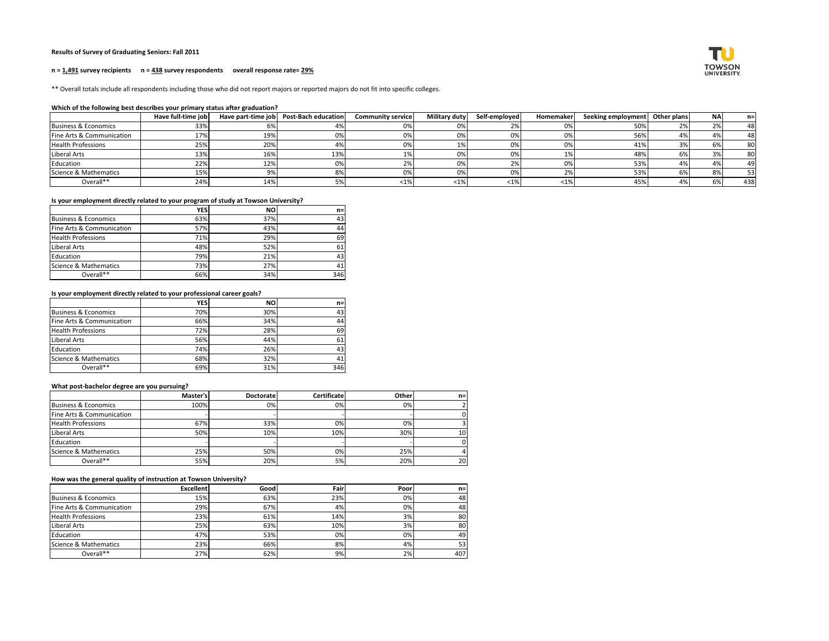## **Results of Survey of Graduating Seniors: Fall 2011**

#### **n = 1,491 survey recipients n = 438 survey respondents overall response rate= 29%**

\*\* Overall totals include all respondents including those who did not report majors or reported majors do not fit into specific colleges.

### **Which of the following best describes your primary status after graduation?**

|                                 | Have full-time job |       | Have part-time job   Post-Bach education | <b>Community service</b> | Military duty | Self-employed | Homemaker | Seeking employment   Other plans | <b>NA</b>              | n=  |
|---------------------------------|--------------------|-------|------------------------------------------|--------------------------|---------------|---------------|-----------|----------------------------------|------------------------|-----|
| <b>Business &amp; Economics</b> | 33%                | 6%    |                                          | 0%                       |               |               | 0%        | 50%                              | $\mathcal{D}$<br>-47 c | 48  |
| Fine Arts & Communication       | 17%                | 19%   | 0%                                       | 0%                       | 0%            |               | 0%        | 56%                              |                        | 48  |
| <b>Health Professions</b>       | 25%                | 20%   |                                          | 0%                       |               |               |           | 41%                              | O7.                    | 80  |
| Liberal Arts                    | 13%                | 16%   | 13%                                      |                          | 0%            |               | 1%        | 48%                              | 37                     | 80  |
| Education                       | 22%                | 12%   | 0%                                       | 2%                       | 0%            | 2%            | 0%        | 53%                              | 47                     | 49  |
| Science & Mathematics           | 15%                | $Q\%$ | 8%                                       | 0%                       | 0%            |               | 2%        | 53%                              | 8%                     | 53  |
| Overall**                       | 24%                | 14%   | 5%                                       | <1%                      | $<$ 1%        | $\langle 1\%$ | <1%       | 45%                              | -6%                    | 438 |

# **Is your employment directly related to your program of study at Towson University?**

|                           | <b>YES</b> | <b>NO</b> | $n=$ |
|---------------------------|------------|-----------|------|
| Business & Economics      | 63%        | 37%       | 431  |
| Fine Arts & Communication | 57%        | 43%       | 44   |
| <b>Health Professions</b> | 71%        | 29%       | 69   |
| Liberal Arts              | 48%        | 52%       | 61   |
| Education                 | 79%        | 21%       | 43   |
| Science & Mathematics     | 73%        | 27%       | 41   |
| Overall**                 | 66%        | 34%       | 346  |

# **Is your employment directly related to your professional career goals?**

|                                 | <b>YES</b> | <b>NO</b> | $n =$ |
|---------------------------------|------------|-----------|-------|
| <b>Business &amp; Economics</b> | 70%        | 30%       | 43    |
| Fine Arts & Communication       | 66%        | 34%       | 44    |
| <b>Health Professions</b>       | 72%        | 28%       | 69    |
| Liberal Arts                    | 56%        | 44%       | 61    |
| Education                       | 74%        | 26%       | 43    |
| Science & Mathematics           | 68%        | 32%       | 41    |
| Overall**                       | 69%        | 31%       | 346   |

### **What post-bachelor degree are you pursuing?**

|                           | Master's | <b>Doctorate</b> | <b>Certificate</b> | Other | $n =$ |
|---------------------------|----------|------------------|--------------------|-------|-------|
| Business & Economics      | 100%     | 0%               | 0%                 | 0%    |       |
| Fine Arts & Communication |          |                  |                    |       |       |
| <b>Health Professions</b> | 67%      | 33%              | 0%                 | 0%    |       |
| Liberal Arts              | 50%      | 10%              | 10%                | 30%   | 10    |
| Education                 |          |                  |                    |       |       |
| Science & Mathematics     | 25%      | 50%              | 0%                 | 25%   |       |
| Overall**                 | 55%      | 20%              | 5%                 | 20%   | 20    |

## **How was the general quality of instruction at Towson University?**

|                           | <b>Excellent</b> | Good | Fairl | Poorl | $n=1$           |
|---------------------------|------------------|------|-------|-------|-----------------|
| Business & Economics      | 15%              | 63%  | 23%   | 0%    | 48              |
| Fine Arts & Communication | 29%              | 67%  | 4%    | 0%    | 48              |
| <b>Health Professions</b> | 23%              | 61%  | 14%   | 3%    | 80              |
| Liberal Arts              | 25%              | 63%  | 10%   | 3%    | 80              |
| Education                 | 47%              | 53%  | 0%    | 0%    | 49              |
| Science & Mathematics     | 23%              | 66%  | 8%    | 4%    | 53 <sub>1</sub> |
| Overall**                 | 27%              | 62%  | 9%    | 2%    | 407             |